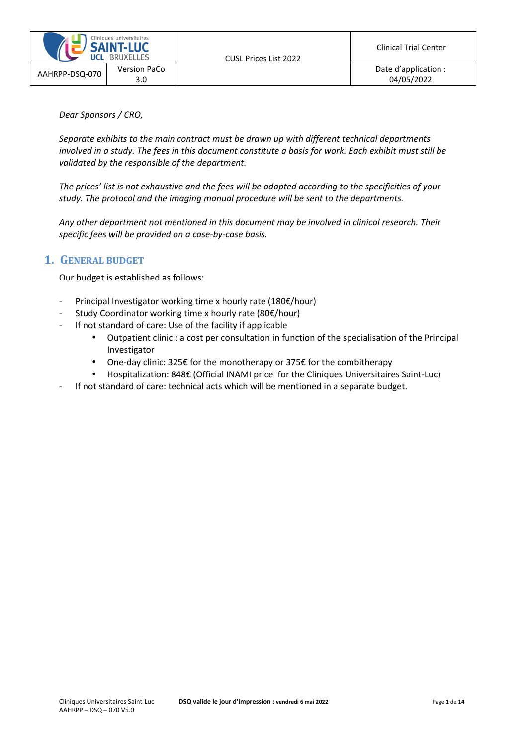

*Dear Sponsors / CRO,* 

*Separate exhibits to the main contract must be drawn up with different technical departments involved in a study. The fees in this document constitute a basis for work. Each exhibit must still be validated by the responsible of the department.* 

*The prices' list is not exhaustive and the fees will be adapted according to the specificities of your study. The protocol and the imaging manual procedure will be sent to the departments.* 

*Any other department not mentioned in this document may be involved in clinical research. Their specific fees will be provided on a case-by-case basis.* 

## **1. GENERAL BUDGET**

Our budget is established as follows:

- Principal Investigator working time x hourly rate (180€/hour)
- Study Coordinator working time x hourly rate (80 $\varepsilon$ /hour)
- If not standard of care: Use of the facility if applicable
	- Outpatient clinic : a cost per consultation in function of the specialisation of the Principal Investigator
	- One-day clinic: 325€ for the monotherapy or 375€ for the combitherapy
	- Hospitalization: 848€ (Official INAMI price for the Cliniques Universitaires Saint-Luc)
- If not standard of care: technical acts which will be mentioned in a separate budget.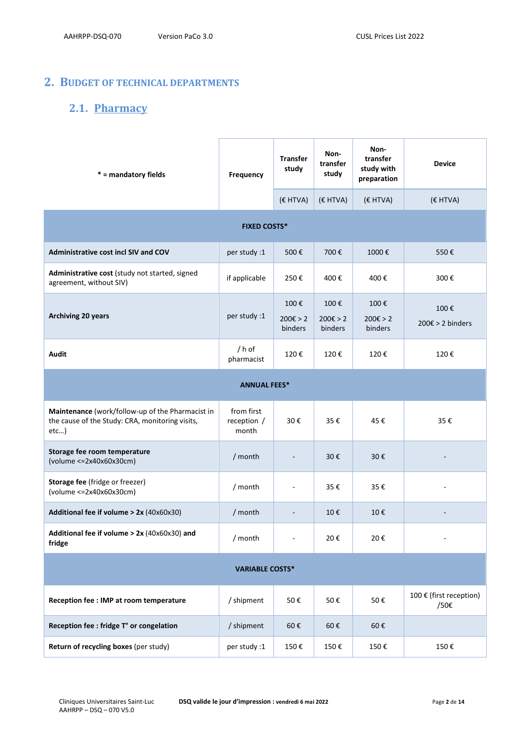## **2. BUDGET OF TECHNICAL DEPARTMENTS**

## **2.1. Pharmacy**

| * = mandatory fields                                                                                        | Frequency                          | <b>Transfer</b><br>study    | Non-<br>transfer<br>study             | Non-<br>transfer<br>study with<br>preparation | <b>Device</b>                      |
|-------------------------------------------------------------------------------------------------------------|------------------------------------|-----------------------------|---------------------------------------|-----------------------------------------------|------------------------------------|
|                                                                                                             |                                    | (€ HTVA)                    | (€ HTVA)                              | (€ HTVA)                                      | (€ HTVA)                           |
| <b>FIXED COSTS*</b>                                                                                         |                                    |                             |                                       |                                               |                                    |
| Administrative cost incl SIV and COV                                                                        | per study :1                       | 500€                        | 700€                                  | 1000€                                         | 550€                               |
| Administrative cost (study not started, signed<br>agreement, without SIV)                                   | if applicable                      | 250€                        | 400€                                  | 400€                                          | 300€                               |
| <b>Archiving 20 years</b>                                                                                   | per study :1                       | 100€<br>200€ > 2<br>binders | 100€<br>$200 \epsilon > 2$<br>binders | 100€<br>$200 \epsilon > 2$<br>binders         | 100€<br>$200 \epsilon > 2$ binders |
| <b>Audit</b>                                                                                                | / h of<br>pharmacist               | 120€                        | 120€                                  | 120€                                          | 120€                               |
|                                                                                                             | <b>ANNUAL FEES*</b>                |                             |                                       |                                               |                                    |
| Maintenance (work/follow-up of the Pharmacist in<br>the cause of the Study: CRA, monitoring visits,<br>etc) | from first<br>reception /<br>month | 30€                         | 35€                                   | 45€                                           | 35€                                |
| Storage fee room temperature<br>(volume <= 2x40x60x30cm)                                                    | / month                            |                             | 30€                                   | 30€                                           |                                    |
| Storage fee (fridge or freezer)<br>$(volume < = 2x40x60x30cm)$                                              | / month                            | $\overline{\phantom{a}}$    | 35€                                   | 35€                                           |                                    |
| Additional fee if volume > 2x (40x60x30)                                                                    | / month                            |                             | 10€                                   | 10€                                           |                                    |
| Additional fee if volume $> 2x$ (40x60x30) and<br>fridge                                                    | / month                            |                             | 20€                                   | 20€                                           |                                    |
| <b>VARIABLE COSTS*</b>                                                                                      |                                    |                             |                                       |                                               |                                    |
| Reception fee : IMP at room temperature                                                                     | / shipment                         | 50€                         | 50€                                   | 50€                                           | 100 € (first reception)<br>/50€    |
| Reception fee : fridge T° or congelation                                                                    | / shipment                         | 60€                         | 60€                                   | 60€                                           |                                    |
| Return of recycling boxes (per study)                                                                       | per study:1                        | 150€                        | 150€                                  | 150€                                          | 150€                               |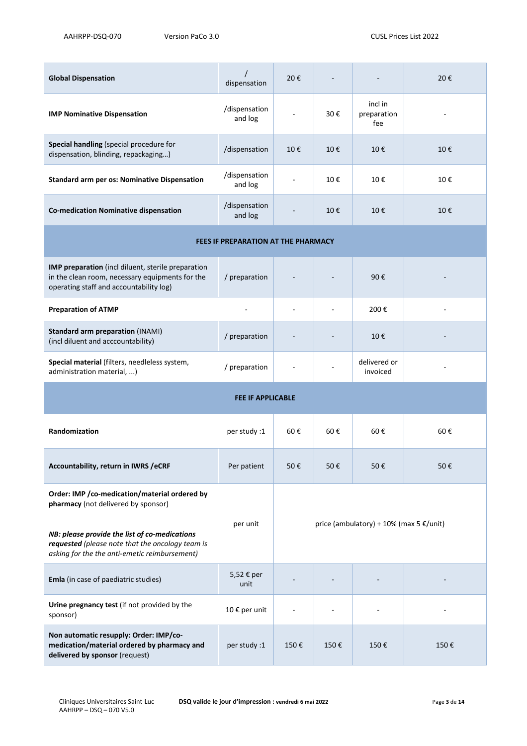| <b>Global Dispensation</b>                                                                                                                         | dispensation                        | 20€                                               |      |                               | 20€  |
|----------------------------------------------------------------------------------------------------------------------------------------------------|-------------------------------------|---------------------------------------------------|------|-------------------------------|------|
| <b>IMP Nominative Dispensation</b>                                                                                                                 | /dispensation<br>and log            |                                                   | 30€  | incl in<br>preparation<br>fee |      |
| Special handling (special procedure for<br>dispensation, blinding, repackaging)                                                                    | /dispensation                       | 10€                                               | 10€  | 10€                           | 10€  |
| <b>Standard arm per os: Nominative Dispensation</b>                                                                                                | /dispensation<br>and log            |                                                   | 10€  | 10€                           | 10€  |
| <b>Co-medication Nominative dispensation</b>                                                                                                       | /dispensation<br>and log            |                                                   | 10€  | 10€                           | 10€  |
|                                                                                                                                                    | FEES IF PREPARATION AT THE PHARMACY |                                                   |      |                               |      |
| IMP preparation (incl diluent, sterile preparation<br>in the clean room, necessary equipments for the<br>operating staff and accountability log)   | / preparation                       |                                                   |      | 90€                           |      |
| <b>Preparation of ATMP</b>                                                                                                                         |                                     |                                                   |      | 200€                          |      |
| <b>Standard arm preparation (INAMI)</b><br>(incl diluent and acccountability)                                                                      | / preparation                       |                                                   |      | 10€                           |      |
| Special material (filters, needleless system,<br>administration material, )                                                                        | / preparation                       |                                                   |      | delivered or<br>invoiced      |      |
|                                                                                                                                                    | <b>FEE IF APPLICABLE</b>            |                                                   |      |                               |      |
| Randomization                                                                                                                                      | per study :1                        | 60€                                               | 60€  | 60€                           | 60€  |
| Accountability, return in IWRS / eCRF                                                                                                              | Per patient                         | 50€                                               | 50€  | 50€                           | 50€  |
| Order: IMP / co-medication/material ordered by<br>pharmacy (not delivered by sponsor)                                                              | per unit                            |                                                   |      |                               |      |
| NB: please provide the list of co-medications<br>requested (please note that the oncology team is<br>asking for the the anti-emetic reimbursement) |                                     | price (ambulatory) + 10% (max 5 $\epsilon$ /unit) |      |                               |      |
| Emla (in case of paediatric studies)                                                                                                               | 5,52 € per<br>unit                  |                                                   |      |                               |      |
| Urine pregnancy test (if not provided by the<br>sponsor)                                                                                           | 10 € per unit                       |                                                   |      |                               |      |
| Non automatic resupply: Order: IMP/co-<br>medication/material ordered by pharmacy and<br>delivered by sponsor (request)                            | per study :1                        | 150€                                              | 150€ | 150€                          | 150€ |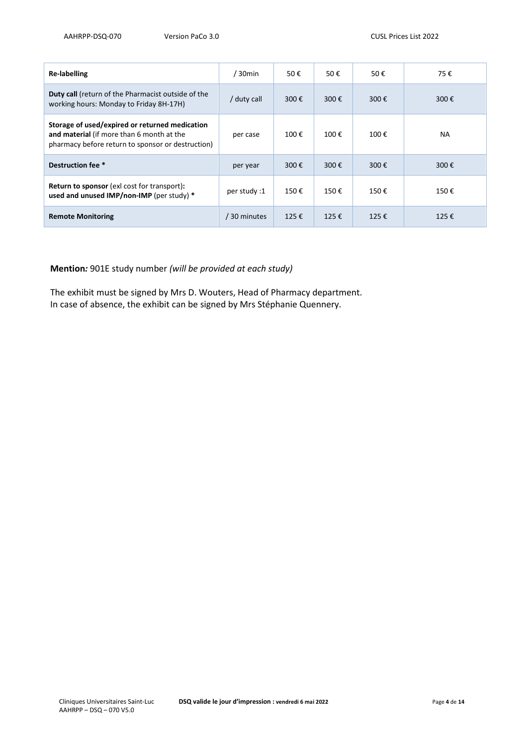| <b>Re-labelling</b>                                                                                                                              | 30 <sub>min</sub> | 50€  | 50€            | 50€  | 75€            |
|--------------------------------------------------------------------------------------------------------------------------------------------------|-------------------|------|----------------|------|----------------|
| <b>Duty call</b> (return of the Pharmacist outside of the<br>working hours: Monday to Friday 8H-17H)                                             | / duty call       | 300€ | 300 $\epsilon$ | 300€ | 300€           |
| Storage of used/expired or returned medication<br>and material (if more than 6 month at the<br>pharmacy before return to sponsor or destruction) | per case          | 100€ | 100€           | 100€ | NA.            |
| Destruction fee *                                                                                                                                | per year          | 300€ | 300 $\epsilon$ | 300€ | 300€           |
| <b>Return to sponsor</b> (exl cost for transport):<br>used and unused IMP/non-IMP (per study) *                                                  | per study :1      | 150€ | 150€           | 150€ | 150€           |
| <b>Remote Monitoring</b>                                                                                                                         | / 30 minutes      | 125€ | 125€           | 125€ | 125 $\epsilon$ |

### **Mention***:* 901E study number *(will be provided at each study)*

The exhibit must be signed by Mrs D. Wouters, Head of Pharmacy department. In case of absence, the exhibit can be signed by Mrs Stéphanie Quennery.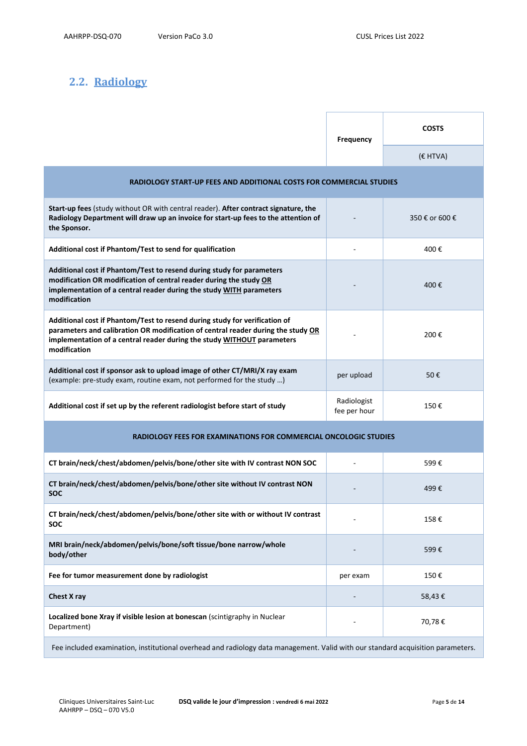## **2.2. Radiology**

|                                                                                                                                                                                                                                                          | <b>Frequency</b>            | <b>COSTS</b>   |
|----------------------------------------------------------------------------------------------------------------------------------------------------------------------------------------------------------------------------------------------------------|-----------------------------|----------------|
|                                                                                                                                                                                                                                                          |                             | (€ HTVA)       |
| RADIOLOGY START-UP FEES AND ADDITIONAL COSTS FOR COMMERCIAL STUDIES                                                                                                                                                                                      |                             |                |
| Start-up fees (study without OR with central reader). After contract signature, the<br>Radiology Department will draw up an invoice for start-up fees to the attention of<br>the Sponsor.                                                                |                             | 350 € or 600 € |
| Additional cost if Phantom/Test to send for qualification                                                                                                                                                                                                |                             | 400€           |
| Additional cost if Phantom/Test to resend during study for parameters<br>modification OR modification of central reader during the study OR<br>implementation of a central reader during the study WITH parameters<br>modification                       |                             | 400€           |
| Additional cost if Phantom/Test to resend during study for verification of<br>parameters and calibration OR modification of central reader during the study OR<br>implementation of a central reader during the study WITHOUT parameters<br>modification |                             | 200€           |
| Additional cost if sponsor ask to upload image of other CT/MRI/X ray exam<br>(example: pre-study exam, routine exam, not performed for the study )                                                                                                       | per upload                  | 50€            |
| Additional cost if set up by the referent radiologist before start of study                                                                                                                                                                              | Radiologist<br>fee per hour | 150€           |
| RADIOLOGY FEES FOR EXAMINATIONS FOR COMMERCIAL ONCOLOGIC STUDIES                                                                                                                                                                                         |                             |                |
| CT brain/neck/chest/abdomen/pelvis/bone/other site with IV contrast NON SOC                                                                                                                                                                              |                             | 599€           |
| CT brain/neck/chest/abdomen/pelvis/bone/other site without IV contrast NON<br><b>SOC</b>                                                                                                                                                                 |                             | 499€           |
| CT brain/neck/chest/abdomen/pelvis/bone/other site with or without IV contrast<br>SOC                                                                                                                                                                    |                             | 158€           |
| MRI brain/neck/abdomen/pelvis/bone/soft tissue/bone narrow/whole<br>body/other                                                                                                                                                                           |                             | 599€           |
| Fee for tumor measurement done by radiologist                                                                                                                                                                                                            | per exam                    | 150€           |
| Chest X ray                                                                                                                                                                                                                                              |                             | 58,43€         |
| Localized bone Xray if visible lesion at bonescan (scintigraphy in Nuclear<br>Department)                                                                                                                                                                |                             | 70,78€         |
| Fee included examination, institutional overhead and radiology data management. Valid with our standard acquisition parameters.                                                                                                                          |                             |                |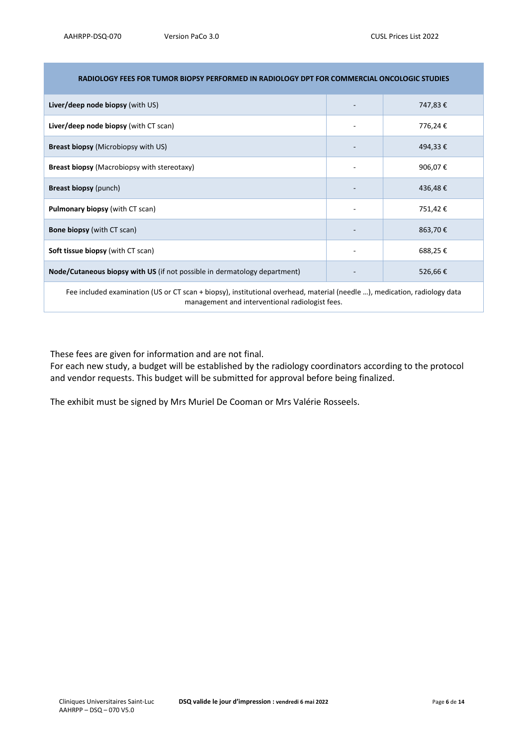| RADIOLOGY FEES FOR TUMOR BIOPSY PERFORMED IN RADIOLOGY DPT FOR COMMERCIAL ONCOLOGIC STUDIES                               |                          |         |
|---------------------------------------------------------------------------------------------------------------------------|--------------------------|---------|
| <b>Liver/deep node biopsy</b> (with US)                                                                                   | $\overline{\phantom{a}}$ | 747,83€ |
| Liver/deep node biopsy (with CT scan)                                                                                     | -                        | 776,24€ |
| <b>Breast biopsy (Microbiopsy with US)</b>                                                                                |                          | 494,33€ |
| <b>Breast biopsy (Macrobiopsy with stereotaxy)</b>                                                                        | ٠                        | 906,07€ |
| <b>Breast biopsy (punch)</b>                                                                                              |                          | 436,48€ |
| <b>Pulmonary biopsy (with CT scan)</b>                                                                                    | ۰                        | 751,42€ |
| <b>Bone biopsy</b> (with CT scan)                                                                                         |                          | 863,70€ |
| <b>Soft tissue biopsy</b> (with CT scan)                                                                                  | ٠                        | 688,25€ |
| Node/Cutaneous biopsy with US (if not possible in dermatology department)                                                 |                          | 526,66€ |
| Fee included examination (US or CT scan + biopsy), institutional overhead, material (needle ), medication, radiology data |                          |         |

#### **RADIOLOGY FEES FOR TUMOR BIOPSY PERFORMED IN RADIOLOGY DPT FOR COMMERCIAL ONCOLOGIC STUDIES**

These fees are given for information and are not final.

For each new study, a budget will be established by the radiology coordinators according to the protocol and vendor requests. This budget will be submitted for approval before being finalized.

management and interventional radiologist fees.

The exhibit must be signed by Mrs Muriel De Cooman or Mrs Valérie Rosseels.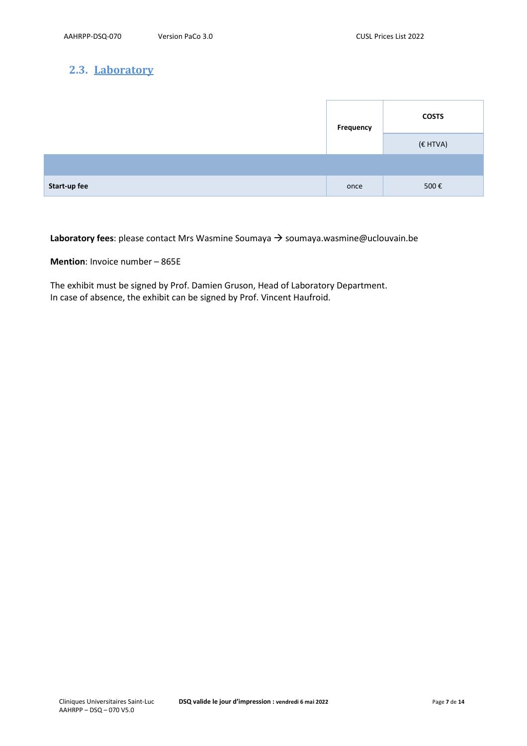## **2.3. Laboratory**

|              | Frequency | <b>COSTS</b> |
|--------------|-----------|--------------|
|              |           | (€ HTVA)     |
|              |           |              |
| Start-up fee | once      | 500€         |

**Laboratory fees**: please contact Mrs Wasmine Soumaya → soumaya.wasmine@uclouvain.be

**Mention**: Invoice number – 865E

The exhibit must be signed by Prof. Damien Gruson, Head of Laboratory Department. In case of absence, the exhibit can be signed by Prof. Vincent Haufroid.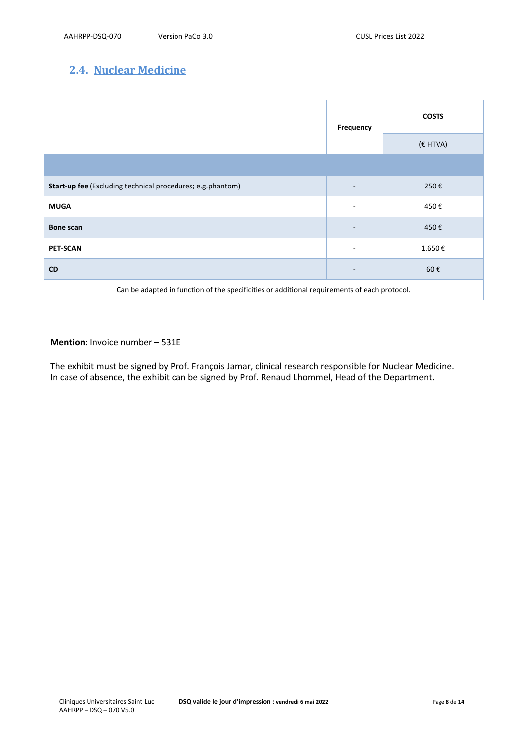## **2.4. Nuclear Medicine**

|                                                                                              | Frequency                | <b>COSTS</b> |
|----------------------------------------------------------------------------------------------|--------------------------|--------------|
|                                                                                              |                          | $(E$ HTVA)   |
|                                                                                              |                          |              |
| Start-up fee (Excluding technical procedures; e.g.phantom)                                   |                          | 250€         |
| <b>MUGA</b>                                                                                  | $\overline{\phantom{a}}$ | 450€         |
| <b>Bone scan</b>                                                                             | $\overline{\phantom{0}}$ | 450€         |
| <b>PET-SCAN</b>                                                                              | ٠                        | 1.650€       |
| <b>CD</b>                                                                                    |                          | 60€          |
| Can be adapted in function of the specificities or additional requirements of each protocol. |                          |              |

### **Mention**: Invoice number – 531E

The exhibit must be signed by Prof. François Jamar, clinical research responsible for Nuclear Medicine. In case of absence, the exhibit can be signed by Prof. Renaud Lhommel, Head of the Department.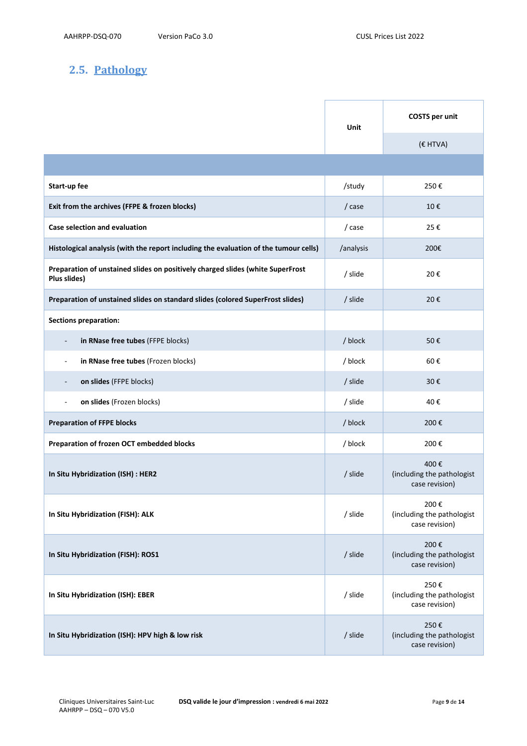# **2.5. Pathology**

|                                                                                                | Unit      | <b>COSTS</b> per unit                                |
|------------------------------------------------------------------------------------------------|-----------|------------------------------------------------------|
|                                                                                                |           | $(E$ HTVA)                                           |
|                                                                                                |           |                                                      |
| Start-up fee                                                                                   | /study    | 250€                                                 |
| Exit from the archives (FFPE & frozen blocks)                                                  | / case    | 10€                                                  |
| Case selection and evaluation                                                                  | / case    | 25€                                                  |
| Histological analysis (with the report including the evaluation of the tumour cells)           | /analysis | 200€                                                 |
| Preparation of unstained slides on positively charged slides (white SuperFrost<br>Plus slides) | / slide   | 20€                                                  |
| Preparation of unstained slides on standard slides (colored SuperFrost slides)                 | / slide   | 20€                                                  |
| <b>Sections preparation:</b>                                                                   |           |                                                      |
| in RNase free tubes (FFPE blocks)<br>$\overline{\phantom{a}}$                                  | / block   | 50€                                                  |
| in RNase free tubes (Frozen blocks)<br>$\overline{\phantom{a}}$                                | / block   | 60€                                                  |
| on slides (FFPE blocks)                                                                        | / slide   | 30€                                                  |
| on slides (Frozen blocks)<br>$\overline{\phantom{a}}$                                          | / slide   | 40€                                                  |
| <b>Preparation of FFPE blocks</b>                                                              | / block   | 200€                                                 |
| Preparation of frozen OCT embedded blocks                                                      | / block   | 200€                                                 |
| In Situ Hybridization (ISH) : HER2                                                             | / slide   | 400€<br>(including the pathologist<br>case revision) |
| In Situ Hybridization (FISH): ALK                                                              | / slide   | 200€<br>(including the pathologist<br>case revision) |
| In Situ Hybridization (FISH): ROS1                                                             | / slide   | 200€<br>(including the pathologist<br>case revision) |
| In Situ Hybridization (ISH): EBER                                                              | / slide   | 250€<br>(including the pathologist<br>case revision) |
| In Situ Hybridization (ISH): HPV high & low risk                                               | / slide   | 250€<br>(including the pathologist<br>case revision) |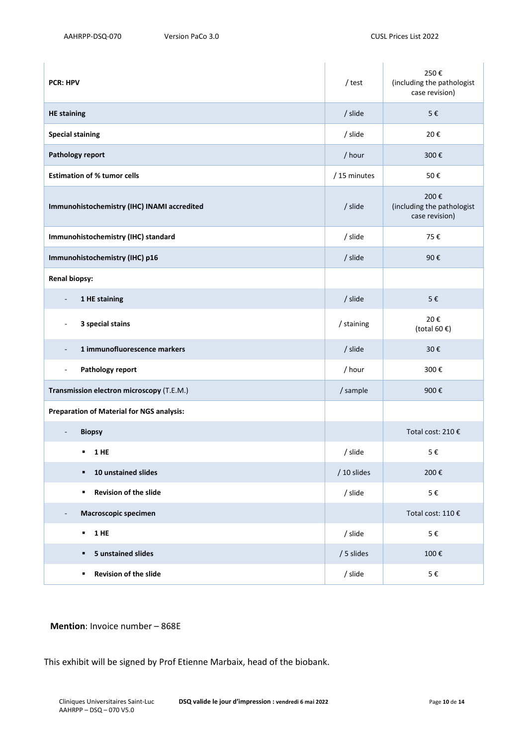| <b>PCR: HPV</b>                                          | / test      | 250€<br>(including the pathologist<br>case revision) |
|----------------------------------------------------------|-------------|------------------------------------------------------|
| <b>HE</b> staining                                       | / slide     | 5€                                                   |
| <b>Special staining</b>                                  | / slide     | 20€                                                  |
| Pathology report                                         | / hour      | 300€                                                 |
| <b>Estimation of % tumor cells</b>                       | /15 minutes | 50€                                                  |
| Immunohistochemistry (IHC) INAMI accredited              | / slide     | 200€<br>(including the pathologist<br>case revision) |
| Immunohistochemistry (IHC) standard                      | / slide     | 75€                                                  |
| Immunohistochemistry (IHC) p16                           | / slide     | 90€                                                  |
| <b>Renal biopsy:</b>                                     |             |                                                      |
| 1 HE staining<br>$\overline{\phantom{a}}$                | / slide     | 5€                                                   |
| 3 special stains                                         | / staining  | 20€<br>(total 60 $\epsilon$ )                        |
| 1 immunofluorescence markers<br>$\overline{\phantom{a}}$ | / slide     | 30€                                                  |
| Pathology report<br>$\overline{\phantom{a}}$             | / hour      | 300€                                                 |
| Transmission electron microscopy (T.E.M.)                | / sample    | 900€                                                 |
| <b>Preparation of Material for NGS analysis:</b>         |             |                                                      |
| <b>Biopsy</b><br>$\overline{\phantom{a}}$                |             | Total cost: 210 €                                    |
| ٠<br><b>1 HE</b>                                         | / slide     | 5€                                                   |
| 10 unstained slides<br>٠                                 | / 10 slides | 200€                                                 |
| Revision of the slide<br>٠                               | / slide     | 5€                                                   |
| Macroscopic specimen<br>$\overline{\phantom{a}}$         |             | Total cost: 110 €                                    |
| 1 HE<br>$\blacksquare$                                   | / slide     | 5€                                                   |
| <b>5 unstained slides</b><br>٠                           | / 5 slides  | 100€                                                 |
| Revision of the slide<br>٠                               | / slide     | $5 \in$                                              |

### **Mention**: Invoice number – 868E

This exhibit will be signed by Prof Etienne Marbaix, head of the biobank.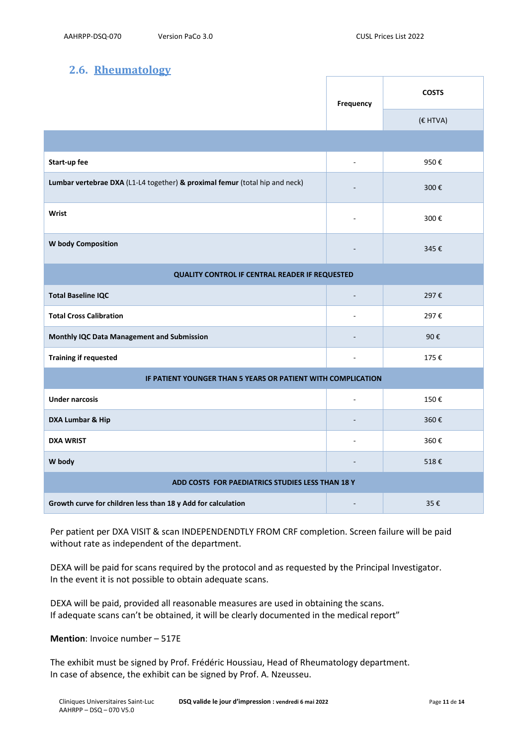## **2.6. Rheumatology**

|                                                                             | Frequency                | <b>COSTS</b> |
|-----------------------------------------------------------------------------|--------------------------|--------------|
|                                                                             |                          | (€ HTVA)     |
|                                                                             |                          |              |
| Start-up fee                                                                | ä,                       | 950€         |
| Lumbar vertebrae DXA (L1-L4 together) & proximal femur (total hip and neck) | $\overline{\phantom{a}}$ | 300€         |
| Wrist                                                                       | $\overline{\phantom{a}}$ | 300€         |
| W body Composition                                                          |                          | 345€         |
| QUALITY CONTROL IF CENTRAL READER IF REQUESTED                              |                          |              |
| <b>Total Baseline IQC</b>                                                   | $\overline{a}$           | 297€         |
| <b>Total Cross Calibration</b>                                              | $\sim$                   | 297€         |
| Monthly IQC Data Management and Submission                                  | ÷                        | 90€          |
| <b>Training if requested</b>                                                | $\overline{\phantom{a}}$ | 175€         |
| IF PATIENT YOUNGER THAN 5 YEARS OR PATIENT WITH COMPLICATION                |                          |              |
| <b>Under narcosis</b>                                                       | $\overline{a}$           | 150€         |
| DXA Lumbar & Hip                                                            | $\blacksquare$           | 360€         |
| <b>DXA WRIST</b>                                                            | ÷                        | 360€         |
| W body                                                                      |                          | 518€         |
| ADD COSTS FOR PAEDIATRICS STUDIES LESS THAN 18 Y                            |                          |              |
| Growth curve for children less than 18 y Add for calculation                | $\blacksquare$           | 35€          |

Per patient per DXA VISIT & scan INDEPENDENDTLY FROM CRF completion. Screen failure will be paid without rate as independent of the department.

DEXA will be paid for scans required by the protocol and as requested by the Principal Investigator. In the event it is not possible to obtain adequate scans.

DEXA will be paid, provided all reasonable measures are used in obtaining the scans. If adequate scans can't be obtained, it will be clearly documented in the medical report"

**Mention**: Invoice number – 517E

The exhibit must be signed by Prof. Frédéric Houssiau, Head of Rheumatology department. In case of absence, the exhibit can be signed by Prof. A. Nzeusseu.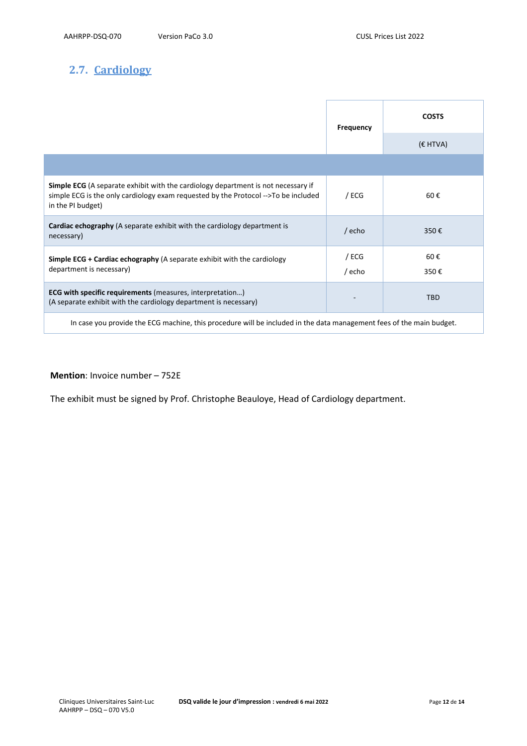## **2.7. Cardiology**

|                                                                                                                                                                                                     | <b>Frequency</b> | <b>COSTS</b> |
|-----------------------------------------------------------------------------------------------------------------------------------------------------------------------------------------------------|------------------|--------------|
|                                                                                                                                                                                                     |                  | $(E$ HTVA)   |
|                                                                                                                                                                                                     |                  |              |
| <b>Simple ECG</b> (A separate exhibit with the cardiology department is not necessary if<br>simple ECG is the only cardiology exam requested by the Protocol -->To be included<br>in the PI budget) | / ECG            | 60€          |
| Cardiac echography (A separate exhibit with the cardiology department is<br>necessary)                                                                                                              | $/$ echo         | 350€         |
| <b>Simple ECG + Cardiac echography</b> (A separate exhibit with the cardiology<br>department is necessary)                                                                                          | / ECG<br>/ echo  | 60€<br>350€  |
| <b>ECG with specific requirements</b> (measures, interpretation)                                                                                                                                    |                  |              |
| (A separate exhibit with the cardiology department is necessary)                                                                                                                                    |                  | <b>TBD</b>   |
|                                                                                                                                                                                                     |                  |              |

In case you provide the ECG machine, this procedure will be included in the data management fees of the main budget.

### **Mention**: Invoice number – 752E

The exhibit must be signed by Prof. Christophe Beauloye, Head of Cardiology department.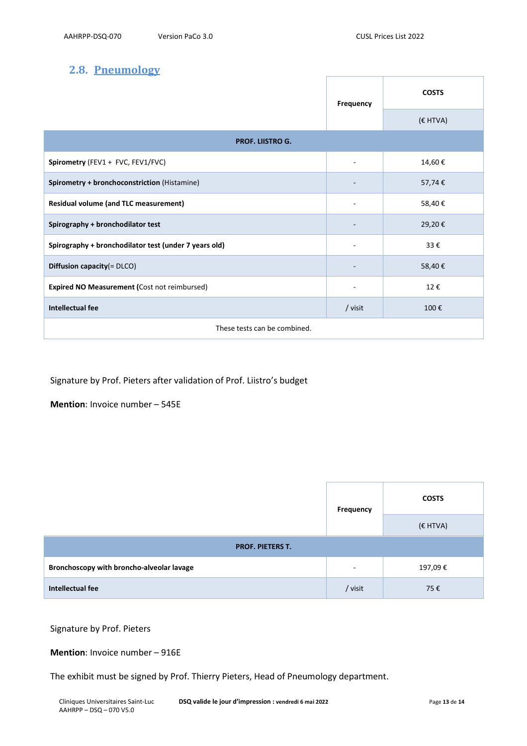## **2.8. Pneumology**

|                                                       | Frequency | <b>COSTS</b> |
|-------------------------------------------------------|-----------|--------------|
|                                                       |           | (€ HTVA)     |
| <b>PROF. LIISTRO G.</b>                               |           |              |
| Spirometry (FEV1 + FVC, FEV1/FVC)                     |           | 14,60€       |
| Spirometry + bronchoconstriction (Histamine)          |           | 57,74€       |
| <b>Residual volume (and TLC measurement)</b>          |           | 58,40€       |
| Spirography + bronchodilator test                     |           | 29,20€       |
| Spirography + bronchodilator test (under 7 years old) |           | 33€          |
| Diffusion capacity(= DLCO)                            |           | 58,40€       |
| Expired NO Measurement (Cost not reimbursed)          | ٠         | 12€          |
| Intellectual fee                                      | / visit   | 100€         |
| These tests can be combined.                          |           |              |

Signature by Prof. Pieters after validation of Prof. Liistro's budget

**Mention**: Invoice number – 545E

|                                           | <b>Frequency</b>         | <b>COSTS</b> |  |
|-------------------------------------------|--------------------------|--------------|--|
|                                           |                          | (€ HTVA)     |  |
| <b>PROF. PIETERS T.</b>                   |                          |              |  |
| Bronchoscopy with broncho-alveolar lavage | $\overline{\phantom{a}}$ | 197,09€      |  |
| Intellectual fee                          | / visit                  | 75€          |  |

Signature by Prof. Pieters

### **Mention**: Invoice number – 916E

The exhibit must be signed by Prof. Thierry Pieters, Head of Pneumology department.